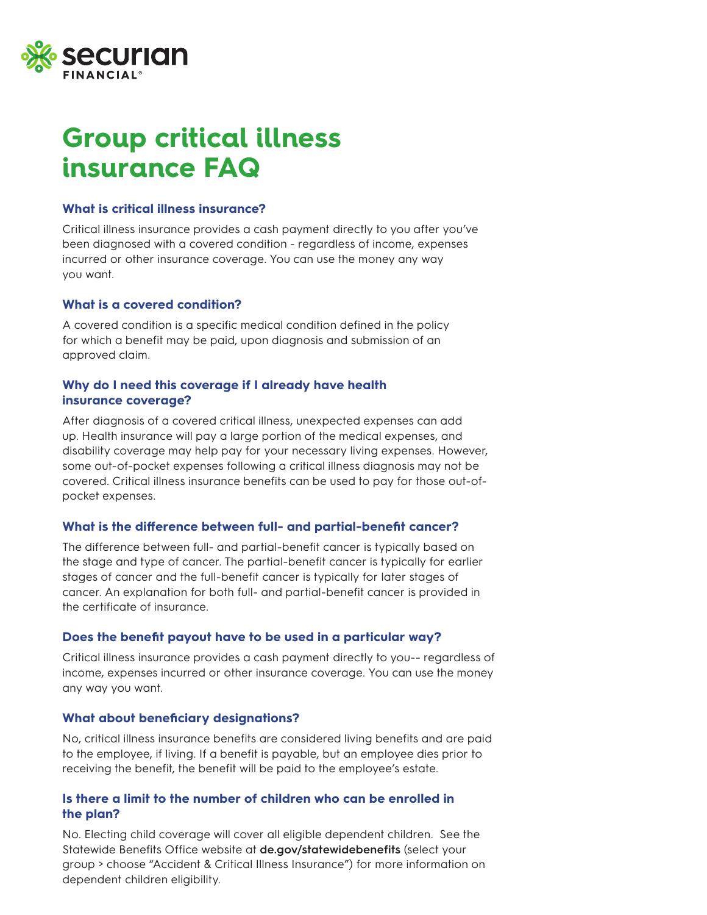

## **Group critical illness insurance FAQ**

## **What is critical illness insurance?**

Critical illness insurance provides a cash payment directly to you after you've been diagnosed with a covered condition - regardless of income, expenses incurred or other insurance coverage. You can use the money any way you want.

## **What is a covered condition?**

A covered condition is a specific medical condition defined in the policy for which a benefit may be paid, upon diagnosis and submission of an approved claim.

## **Why do I need this coverage if I already have health insurance coverage?**

After diagnosis of a covered critical illness, unexpected expenses can add up. Health insurance will pay a large portion of the medical expenses, and disability coverage may help pay for your necessary living expenses. However, some out-of-pocket expenses following a critical illness diagnosis may not be covered. Critical illness insurance benefits can be used to pay for those out-ofpocket expenses.

## **What is the difference between full- and partial-benefit cancer?**

The difference between full- and partial-benefit cancer is typically based on the stage and type of cancer. The partial-benefit cancer is typically for earlier stages of cancer and the full-benefit cancer is typically for later stages of cancer. An explanation for both full- and partial-benefit cancer is provided in the certificate of insurance.

## **Does the benefit payout have to be used in a particular way?**

Critical illness insurance provides a cash payment directly to you-- regardless of income, expenses incurred or other insurance coverage. You can use the money any way you want.

## **What about beneficiary designations?**

No, critical illness insurance benefits are considered living benefits and are paid to the employee, if living. If a benefit is payable, but an employee dies prior to receiving the benefit, the benefit will be paid to the employee's estate.

## **Is there a limit to the number of children who can be enrolled in the plan?**

No. Electing child coverage will cover all eligible dependent children. See the Statewide Benefits Office website at **de.gov/statewidebenefits** (select your group > choose "Accident & Critical Illness Insurance") for more information on dependent children eligibility.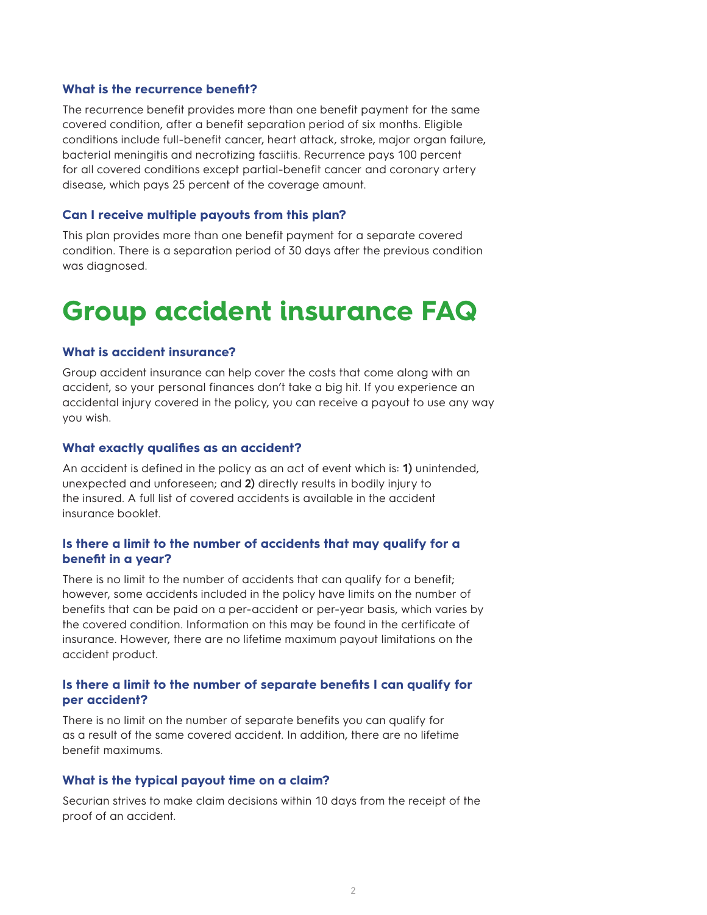#### **What is the recurrence benefit?**

The recurrence benefit provides more than one benefit payment for the same covered condition, after a benefit separation period of six months. Eligible conditions include full-benefit cancer, heart attack, stroke, major organ failure, bacterial meningitis and necrotizing fasciitis. Recurrence pays 100 percent for all covered conditions except partial-benefit cancer and coronary artery disease, which pays 25 percent of the coverage amount.

#### **Can I receive multiple payouts from this plan?**

This plan provides more than one benefit payment for a separate covered condition. There is a separation period of 30 days after the previous condition was diagnosed.

## **Group accident insurance FAQ**

#### **What is accident insurance?**

Group accident insurance can help cover the costs that come along with an accident, so your personal finances don't take a big hit. If you experience an accidental injury covered in the policy, you can receive a payout to use any way you wish.

#### **What exactly qualifies as an accident?**

An accident is defined in the policy as an act of event which is: **1)** unintended, unexpected and unforeseen; and **2)** directly results in bodily injury to the insured. A full list of covered accidents is available in the accident insurance booklet.

#### **Is there a limit to the number of accidents that may qualify for a benefit in a year?**

There is no limit to the number of accidents that can qualify for a benefit; however, some accidents included in the policy have limits on the number of benefits that can be paid on a per-accident or per-year basis, which varies by the covered condition. Information on this may be found in the certificate of insurance. However, there are no lifetime maximum payout limitations on the accident product.

#### **Is there a limit to the number of separate benefits I can qualify for per accident?**

There is no limit on the number of separate benefits you can qualify for as a result of the same covered accident. In addition, there are no lifetime benefit maximums.

#### **What is the typical payout time on a claim?**

Securian strives to make claim decisions within 10 days from the receipt of the proof of an accident.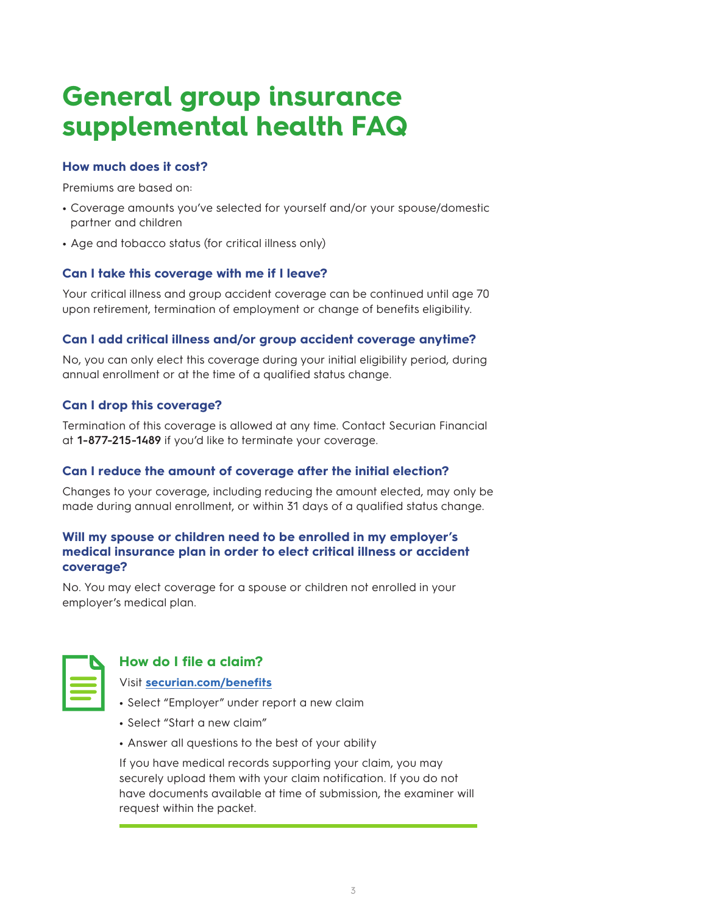# **General group insurance supplemental health FAQ**

## **How much does it cost?**

Premiums are based on:

- **•** Coverage amounts you've selected for yourself and/or your spouse/domestic partner and children
- **•** Age and tobacco status (for critical illness only)

## **Can I take this coverage with me if I leave?**

Your critical illness and group accident coverage can be continued until age 70 upon retirement, termination of employment or change of benefits eligibility.

## **Can I add critical illness and/or group accident coverage anytime?**

No, you can only elect this coverage during your initial eligibility period, during annual enrollment or at the time of a qualified status change.

## **Can I drop this coverage?**

Termination of this coverage is allowed at any time. Contact Securian Financial at **1-877-215-1489** if you'd like to terminate your coverage.

## **Can I reduce the amount of coverage after the initial election?**

Changes to your coverage, including reducing the amount elected, may only be made during annual enrollment, or within 31 days of a qualified status change.

## **Will my spouse or children need to be enrolled in my employer's medical insurance plan in order to elect critical illness or accident coverage?**

No. You may elect coverage for a spouse or children not enrolled in your employer's medical plan.



## **How do I file a claim?**

## Visit **securian.com/benefits**

- **•** Select "Employer" under report a new claim
- **•** Select "Start a new claim"
- **•** Answer all questions to the best of your ability

If you have medical records supporting your claim, you may securely upload them with your claim notification. If you do not have documents available at time of submission, the examiner will request within the packet.